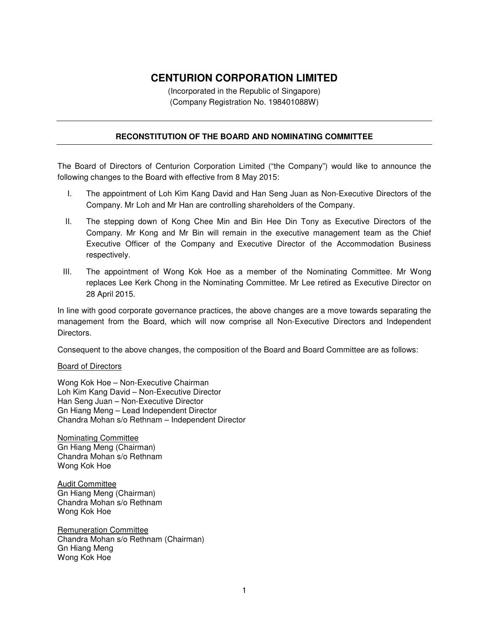## **CENTURION CORPORATION LIMITED**

(Incorporated in the Republic of Singapore) (Company Registration No. 198401088W)

## **RECONSTITUTION OF THE BOARD AND NOMINATING COMMITTEE**

The Board of Directors of Centurion Corporation Limited ("the Company") would like to announce the following changes to the Board with effective from 8 May 2015:

- I. The appointment of Loh Kim Kang David and Han Seng Juan as Non-Executive Directors of the Company. Mr Loh and Mr Han are controlling shareholders of the Company.
- II. The stepping down of Kong Chee Min and Bin Hee Din Tony as Executive Directors of the Company. Mr Kong and Mr Bin will remain in the executive management team as the Chief Executive Officer of the Company and Executive Director of the Accommodation Business respectively.
- III. The appointment of Wong Kok Hoe as a member of the Nominating Committee. Mr Wong replaces Lee Kerk Chong in the Nominating Committee. Mr Lee retired as Executive Director on 28 April 2015.

In line with good corporate governance practices, the above changes are a move towards separating the management from the Board, which will now comprise all Non-Executive Directors and Independent Directors.

Consequent to the above changes, the composition of the Board and Board Committee are as follows:

## Board of Directors

Wong Kok Hoe – Non-Executive Chairman Loh Kim Kang David – Non-Executive Director Han Seng Juan – Non-Executive Director Gn Hiang Meng – Lead Independent Director Chandra Mohan s/o Rethnam – Independent Director

Nominating Committee Gn Hiang Meng (Chairman) Chandra Mohan s/o Rethnam Wong Kok Hoe

Audit Committee Gn Hiang Meng (Chairman) Chandra Mohan s/o Rethnam Wong Kok Hoe

Remuneration Committee Chandra Mohan s/o Rethnam (Chairman) Gn Hiang Meng Wong Kok Hoe